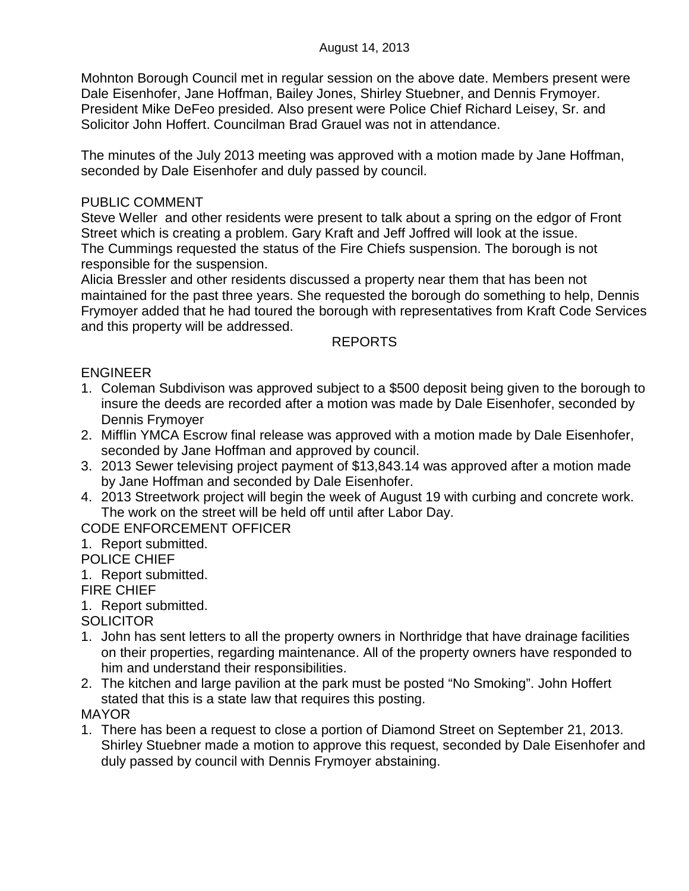Mohnton Borough Council met in regular session on the above date. Members present were Dale Eisenhofer, Jane Hoffman, Bailey Jones, Shirley Stuebner, and Dennis Frymoyer. President Mike DeFeo presided. Also present were Police Chief Richard Leisey, Sr. and Solicitor John Hoffert. Councilman Brad Grauel was not in attendance.

The minutes of the July 2013 meeting was approved with a motion made by Jane Hoffman, seconded by Dale Eisenhofer and duly passed by council.

## PUBLIC COMMENT

Steve Weller and other residents were present to talk about a spring on the edgor of Front Street which is creating a problem. Gary Kraft and Jeff Joffred will look at the issue. The Cummings requested the status of the Fire Chiefs suspension. The borough is not responsible for the suspension.

Alicia Bressler and other residents discussed a property near them that has been not maintained for the past three years. She requested the borough do something to help, Dennis Frymoyer added that he had toured the borough with representatives from Kraft Code Services and this property will be addressed.

## REPORTS

## ENGINEER

- 1. Coleman Subdivison was approved subject to a \$500 deposit being given to the borough to insure the deeds are recorded after a motion was made by Dale Eisenhofer, seconded by Dennis Frymoyer
- 2. Mifflin YMCA Escrow final release was approved with a motion made by Dale Eisenhofer, seconded by Jane Hoffman and approved by council.
- 3. 2013 Sewer televising project payment of \$13,843.14 was approved after a motion made by Jane Hoffman and seconded by Dale Eisenhofer.
- 4. 2013 Streetwork project will begin the week of August 19 with curbing and concrete work. The work on the street will be held off until after Labor Day.

# CODE ENFORCEMENT OFFICER

1. Report submitted.

# POLICE CHIEF

1. Report submitted.

#### FIRE CHIEF

1. Report submitted.

**SOLICITOR** 

- 1. John has sent letters to all the property owners in Northridge that have drainage facilities on their properties, regarding maintenance. All of the property owners have responded to him and understand their responsibilities.
- 2. The kitchen and large pavilion at the park must be posted "No Smoking". John Hoffert stated that this is a state law that requires this posting. MAYOR
- 1. There has been a request to close a portion of Diamond Street on September 21, 2013. Shirley Stuebner made a motion to approve this request, seconded by Dale Eisenhofer and duly passed by council with Dennis Frymoyer abstaining.